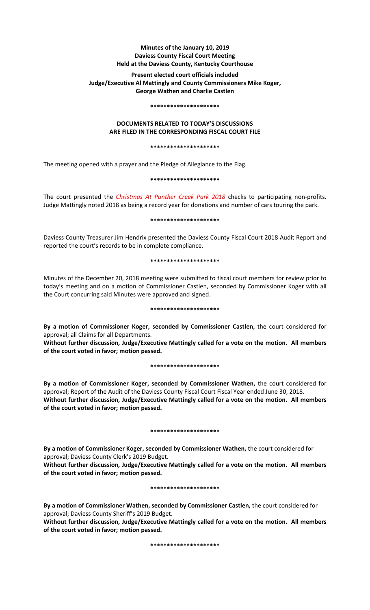# **Minutes of the January 10, 2019 Daviess County Fiscal Court Meeting Held at the Daviess County, Kentucky Courthouse**

# **Present elected court officials included Judge/Executive Al Mattingly and County Commissioners Mike Koger, George Wathen and Charlie Castlen**

#### **\*\*\*\*\*\*\*\*\*\*\*\*\*\*\*\*\*\*\*\*\***

## **DOCUMENTS RELATED TO TODAY'S DISCUSSIONS ARE FILED IN THE CORRESPONDING FISCAL COURT FILE**

#### **\*\*\*\*\*\*\*\*\*\*\*\*\*\*\*\*\*\*\*\*\***

The meeting opened with a prayer and the Pledge of Allegiance to the Flag.

**\*\*\*\*\*\*\*\*\*\*\*\*\*\*\*\*\*\*\*\*\***

The court presented the *Christmas At Panther Creek Park 2018* checks to participating non-profits. Judge Mattingly noted 2018 as being a record year for donations and number of cars touring the park.

### **\*\*\*\*\*\*\*\*\*\*\*\*\*\*\*\*\*\*\*\*\***

Daviess County Treasurer Jim Hendrix presented the Daviess County Fiscal Court 2018 Audit Report and reported the court's records to be in complete compliance.

### **\*\*\*\*\*\*\*\*\*\*\*\*\*\*\*\*\*\*\*\*\***

Minutes of the December 20, 2018 meeting were submitted to fiscal court members for review prior to today's meeting and on a motion of Commissioner Castlen, seconded by Commissioner Koger with all the Court concurring said Minutes were approved and signed.

## **\*\*\*\*\*\*\*\*\*\*\*\*\*\*\*\*\*\*\*\*\***

**By a motion of Commissioner Koger, seconded by Commissioner Castlen,** the court considered for approval; all Claims for all Departments.

**Without further discussion, Judge/Executive Mattingly called for a vote on the motion. All members of the court voted in favor; motion passed.** 

## **\*\*\*\*\*\*\*\*\*\*\*\*\*\*\*\*\*\*\*\*\***

**By a motion of Commissioner Koger, seconded by Commissioner Wathen,** the court considered for approval; Report of the Audit of the Daviess County Fiscal Court Fiscal Year ended June 30, 2018. **Without further discussion, Judge/Executive Mattingly called for a vote on the motion. All members of the court voted in favor; motion passed.** 

## **\*\*\*\*\*\*\*\*\*\*\*\*\*\*\*\*\*\*\*\*\***

**By a motion of Commissioner Koger, seconded by Commissioner Wathen,** the court considered for approval; Daviess County Clerk's 2019 Budget.

**Without further discussion, Judge/Executive Mattingly called for a vote on the motion. All members of the court voted in favor; motion passed.** 

## **\*\*\*\*\*\*\*\*\*\*\*\*\*\*\*\*\*\*\*\*\***

**By a motion of Commissioner Wathen, seconded by Commissioner Castlen,** the court considered for approval; Daviess County Sheriff's 2019 Budget.

**Without further discussion, Judge/Executive Mattingly called for a vote on the motion. All members of the court voted in favor; motion passed.**

**\*\*\*\*\*\*\*\*\*\*\*\*\*\*\*\*\*\*\*\*\***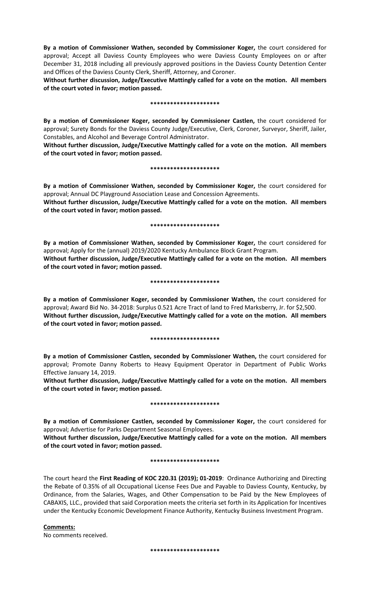**By a motion of Commissioner Wathen, seconded by Commissioner Koger,** the court considered for approval; Accept all Daviess County Employees who were Daviess County Employees on or after December 31, 2018 including all previously approved positions in the Daviess County Detention Center and Offices of the Daviess County Clerk, Sheriff, Attorney, and Coroner.

**Without further discussion, Judge/Executive Mattingly called for a vote on the motion. All members of the court voted in favor; motion passed.** 

#### **\*\*\*\*\*\*\*\*\*\*\*\*\*\*\*\*\*\*\*\*\***

**By a motion of Commissioner Koger, seconded by Commissioner Castlen,** the court considered for approval; Surety Bonds for the Daviess County Judge/Executive, Clerk, Coroner, Surveyor, Sheriff, Jailer, Constables, and Alcohol and Beverage Control Administrator.

**Without further discussion, Judge/Executive Mattingly called for a vote on the motion. All members of the court voted in favor; motion passed.** 

### **\*\*\*\*\*\*\*\*\*\*\*\*\*\*\*\*\*\*\*\*\***

**By a motion of Commissioner Wathen, seconded by Commissioner Koger,** the court considered for approval; Annual DC Playground Association Lease and Concession Agreements.

**Without further discussion, Judge/Executive Mattingly called for a vote on the motion. All members of the court voted in favor; motion passed.** 

### **\*\*\*\*\*\*\*\*\*\*\*\*\*\*\*\*\*\*\*\*\***

**By a motion of Commissioner Wathen, seconded by Commissioner Koger,** the court considered for approval; Apply for the (annual) 2019/2020 Kentucky Ambulance Block Grant Program. **Without further discussion, Judge/Executive Mattingly called for a vote on the motion. All members of the court voted in favor; motion passed.** 

### **\*\*\*\*\*\*\*\*\*\*\*\*\*\*\*\*\*\*\*\*\***

**By a motion of Commissioner Koger, seconded by Commissioner Wathen,** the court considered for approval; Award Bid No. 34-2018: Surplus 0.521 Acre Tract of land to Fred Marksberry, Jr. for \$2,500. **Without further discussion, Judge/Executive Mattingly called for a vote on the motion. All members of the court voted in favor; motion passed.** 

### **\*\*\*\*\*\*\*\*\*\*\*\*\*\*\*\*\*\*\*\*\***

**By a motion of Commissioner Castlen, seconded by Commissioner Wathen,** the court considered for approval; Promote Danny Roberts to Heavy Equipment Operator in Department of Public Works Effective January 14, 2019.

**Without further discussion, Judge/Executive Mattingly called for a vote on the motion. All members of the court voted in favor; motion passed.** 

### **\*\*\*\*\*\*\*\*\*\*\*\*\*\*\*\*\*\*\*\*\***

**By a motion of Commissioner Castlen, seconded by Commissioner Koger,** the court considered for approval; Advertise for Parks Department Seasonal Employees.

**Without further discussion, Judge/Executive Mattingly called for a vote on the motion. All members of the court voted in favor; motion passed.** 

### **\*\*\*\*\*\*\*\*\*\*\*\*\*\*\*\*\*\*\*\*\***

The court heard the **First Reading of KOC 220.31 (2019); 01-2019**: Ordinance Authorizing and Directing the Rebate of 0.35% of all Occupational License Fees Due and Payable to Daviess County, Kentucky, by Ordinance, from the Salaries, Wages, and Other Compensation to be Paid by the New Employees of CABAXIS, LLC., provided that said Corporation meets the criteria set forth in its Application for Incentives under the Kentucky Economic Development Finance Authority, Kentucky Business Investment Program.

**Comments:** No comments received.

**\*\*\*\*\*\*\*\*\*\*\*\*\*\*\*\*\*\*\*\*\***